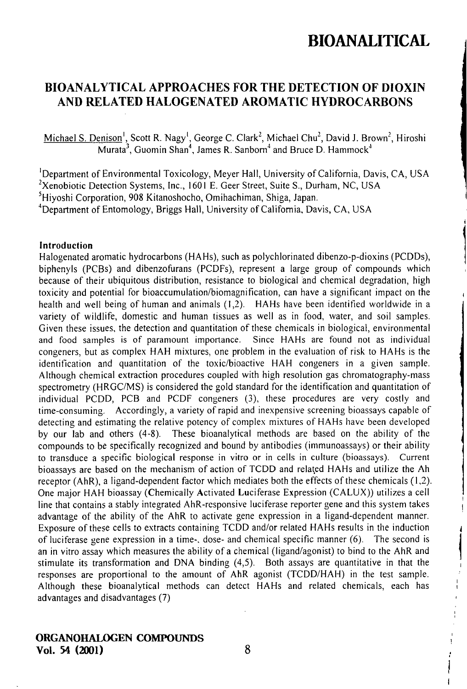### BIOANALYTICAL APPROACHES FOR THE DETECTION OF DIOXIN AND RELATED HALOGENATED AROMATIC HYDROCARBONS

Michael S. Denison<sup>1</sup>, Scott R. Nagy<sup>1</sup>, George C. Clark<sup>2</sup>, Michael Chu<sup>2</sup>, David J. Brown<sup>2</sup>, Hiroshi Murata<sup>3</sup>, Guomin Shan<sup>4</sup>, James R. Sanborn<sup>4</sup> and Bruce D. Hammock<sup>4</sup>

<sup>1</sup>Department of Environmental Toxicology, Meyer Hall, University of California, Davis, CA, USA <sup>2</sup>Xenobiotic Detection Systems, Inc., 1601 E. Geer Street, Suite S., Durham, NC, USA

 $^5$ Hiyoshi Corporation, 908 Kitanoshocho, Omihachiman, Shiga, Japan.

<sup>4</sup> Department of Entomology, Briggs Hall, University of California, Davis, CA, USA

#### Introduction

Halogenated aromatic hydrocarbons (HAHs), such as polychlorinated dibenzo-p-dioxins (PCDDs), biphenyls (PCBs) and dibenzofurans (PCDFs), represent a large group of compounds which because of their ubiquitous distribution, resistance to biological and chemical degradation, high toxicity and potential for bioaccumulalion/biomagnification, can have a significant impact on the health and well being of human and animals  $(1,2)$ . HAHs have been identified worldwide in a variety of wildlife, domestic and human tissues as well as in food, water, and soil samples. Given these issues, the detection and quantitation of these chemicals in biological, environmental and food samples is of paramount importance. Since HAHs are found nol as individual congeners, but as complex HAH mixtures, one problem in the evaluation of risk to HAHs is the identification and quantitation of the toxic/bioactive HAH congeners in a given sample. Although chemical extraction procedures coupled with high resolution gas chromatography-mass spectrometry (HRGC/MS) is considered the gold slandard for the identification and quantitation of individual PCDD, PCB and PCDF congeners (3), these procedures are very costly and lime-consuming. Accordingly, a variety of rapid and inexpensive screening bioassays capable of detecting and estimating the relative potency of complex mixtures of HAHs have been developed by our lab and others (4-8). These bioanalytical methods are based on the ability of the compounds to be specifically recognized and bound by antibodies (immunoassays) or their ability to transduce a specific biological response in vitro or in cells in culture (bioassays). Current bioassays are based on the mechanism of action of TCDD and related HAHs and utilize the Ah receptor (AhR), a ligand-dependent factor which mediates both the effects of these chemicals (1,2). One major HAH bioassay (Chemically Activated Luciferase Expression (CALUX)) utilizes a cell line that contains a stably integrated AhR-responsive luciferase reporter gene and this system takes advantage of the ability of the AhR to activate gene expression in a ligand-dependent manner. Exposure of these cells to extracts containing TCDD and/or related HAHs results in the induction of luciferase gene expression in a lime-, dose- and chemical specific manner (6). The second is an in vitro assay which measures the ability of a chemical (ligand/agonist) to bind to the AhR and stimulate its transformation and DNA binding (4,5). Both assays are quantitative in that the responses are proportional to the amount of AhR agonist (TCDD/HAH) in the test sample. Although these bioanalytical methods can detect HAHs and related chemicals, each has advantages and disadvantages (7)

### ORGANOHALOGEN COMPOUNDS Vol. 54 (2001)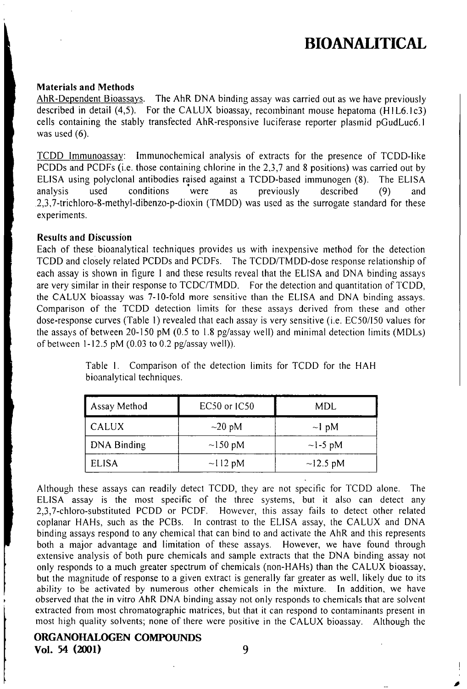### Materials and Methods

AhR-Dependent Bioassays. The AhR DNA binding assay was carried oul as we have previously described in detail  $(4,5)$ . For the CALUX bioassay, recombinant mouse hepatoma  $(H|L6.1c3)$ cells containing the stably transfected AhR-responsive luciferase reporter plasmid pGudLuc6.1 was used (6).

TCDD Immunoassay: Immunochemical analysis of extracts for the presence of TCDD-like PCDDs and PCDFs (i.e. those containing chlorine in the 2,3,7 and 8 positions) was carried out by ELISA using polyclonal antibodies raised against a TCDD-based immunogen (8). The ELISA ELISA using polyclonal antibodies raised against a TCDD-based immunogen (8). The analysis used conditions were as previously described (9) analysis used conditions were as previously described (9) and 2,3,7-trichloro-8-methyl-dibenzo-p-dioxin (TMDD) was used as the surrogate standard for these experiments.

#### Results and Discussion

Each of these bioanalytical techniques provides us with inexpensive method for the detection TCDD and closely relaled PCDDs and PCDFs. The TCDD/TMDD-dose response relationship of each assay is shown in figure 1 and these results reveal that the ELISA and DNA binding assays are very similar in their response to TCDC/TMDD. For the detection and quantitation of TCDD, the CALUX bioassay was 7-10-fold more sensitive than the ELISA and DNA binding assays. Comparison of the TCDD detection limits for these assays derived from these and other dose-response curves (Table 1) revealed that each assay is very sensitive (i.e. EC50/150 values for the assays of between 20-150 pM (0.5 to 1.8 pg/assay well) and minimal detection limits (MDLs) of between  $1-12.5$  pM (0.03 to 0.2 pg/assay well)).

| Assay Method       | $EC50$ or $IC50$ | MDL            |
|--------------------|------------------|----------------|
| CALUX              | $\sim$ 20 pM     | $\sim$   pM    |
| <b>DNA Binding</b> | $\sim$ 150 pM    | $\sim$ 1-5 pM  |
| <b>ELISA</b>       | $\sim$ 112 pM    | $\sim$ 12.5 pM |

Table 1. Comparison of the detection limits for TCDD for the HAH bioanalytical techniques.

Although these assays can readily detect TCDD, they are not specific for TCDD alone. The ELISA assay is the most specific of the three systems, but it also can detect any 2,3,7-chloro-substituled PCDD or PCDF. However, this assay fails to detect other related coplanar HAHs, such as the PCBs. In contrast to the ELISA assay, the CALUX and DNA binding assays respond to any chemical that can bind to and activate the AhR and this represents both a major advantage and limitation of these assays. However, we have found through extensive analysis of both pure chemicals and sample extracts that the DNA binding assay not only responds lo a much greater spectrum of chemicals (non-HAHs) than the CALUX bioassay, but the magnitude of response to a given extract is generally far grealer as well, likely due to its ability to be activated by numerous other chemicals in the mixture. In addition, we have observed that the in vitro AhR DNA binding assay nol only responds to chemicals that are solvent extracted from most chromatographic matrices, but that it can respond to contaminants present in most high quality solvents; none of there were positive in the CALUX bioassay. Although thc

#### ORGANOHALOGEN COMPOUNDS  $Vol. 54 (2001)$  9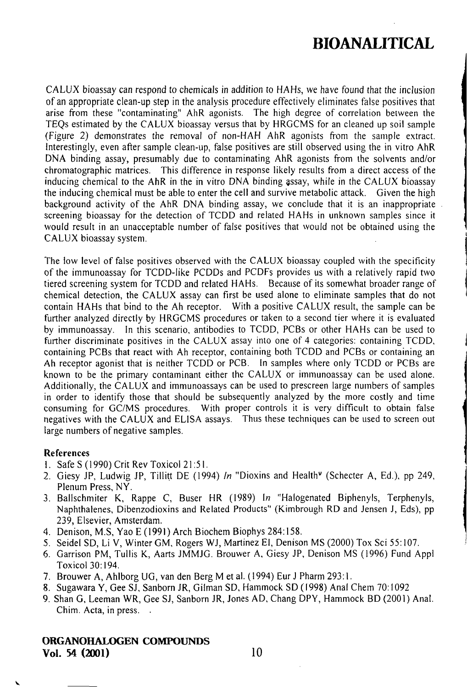CALUX bioassay can respond to chemicals in addition to HAHs, we have found that the inclusion of an appropriate clean-up step in the analysis procedure effectively eliminates false positives that arise from these "contaminating" AhR agonists. The high degree of correlation between the TEQs estimated by the CALUX bioassay versus that by HRGCMS for an cleaned up soil sample  $(Figure 2)$  demonstrates the removal of non-HAH AhR agonists from the sample extract. Interestingly, even after sample clean-up, false positives are still observed using the in vitro AhR DNA binding assay, presumably due to contaminating AhR agonists from the solvents and/or chromatographic matrices. This difference in response likely results from a direct access ofthe inducing chemical to the AhR in the in vitro DNA binding assay, while in fhe CALUX bioassay the inducing chemical must be able to enter the cell and survive metabolic attack. Given the high background activity of the AhR DNA binding assay, we conclude that it is an inappropriate screening bioassay for the detection of TCDD and related HAHs in unknown samples since it would result in an unacceptable number of false positives that would not be obtained using the CALUX bioassay system.

The low level of false positives observed with the CALUX bioassay coupled with the specificity of the immunoassay for TCDD-like PCDDs and PCDFs provides us with a relatively rapid two tiered screening system for TCDD and related HAHs. Because of ils somewhat broader range of chemical detection, the CALUX assay can first be used alone to eliminate samples that do not contain HAHs that bind to the Ah recepior. With a positive CALUX result, the sample can be further analyzed directly by HRGCMS procedures or taken to a second tier where it is evaluated by immunoassay. In this scenario, antibodies to TCDD, PCBs or other HAHs can be used to further discriminate positives in the CALUX assay into one of 4 categories: containing TCDD, containing PCBs that react wilh Ah receptor, containing both TCDD and PCBs or containing an Ah receptor agonist that is neither TCDD or PCB. In samples where only TCDD or PCBs are known to be the primary contaminant either the CALUX or immunoassay can be used alone. Additionally, the CALUX and immunoassays can be used to prescreen large numbers of samples in order to identify those that should be subsequently analyzed by the more costly and time consuming for GC/MS procedures. With proper controls it is very difficult to obtain false negatives wilh the CALUX and ELISA assays. Thus these techniques can be used to screen out large numbers of negative samples.

#### References

- 1. Safe S (1990) Crit Rev Toxicol 21:51.
- 2. Giesy JP, Ludwig JP, Tillitt DE (1994) In "Dioxins and Health" (Schecter A, Ed.), pp 249, Plenum Press, NY.
- 3. Ballschmiter K, Rappe C, Buser HR (1989) In "Halogenated Biphenyls, Terphenyls, Naphthalenes, Dibenzodioxins and Related Products" (Kimbrough RD and Jensen J, Eds), pp 239, Elsevier, Amsterdam.
- 4. Denison, M.S, Yao E (1991) Arch Biochem Biophys 284:158.
- 5. Seidel SD, Li V, Winter GM, Rogers WJ, Martinez El, Denison MS (2000) Tox Sci 55:107.
- 6. Garrison PM, Tullis K, Aarts JMMJG. Brouwer A, Giesy JP, Denison MS (1996) Fund Appl Toxicol 30:194.
- 7. Brouwer A, Ahlborg UG, van den Berg M et al. (1994) Eur J Pharm 293:1.
- 8. Sugawara Y, Gee SJ, Sanborn JR, Gilman SD, Hammock SD (1998) Anal Chem 70:1092
- 9. Shan G, Leeman WR, Gee SJ, Sanborn JR, Jones AD, Chang DPY, Hammock BD (2001) Anal. Chim. Acta, in press.

### ORGANOHALOGEN COMPOUNDS Vol. 54 (2001) 10